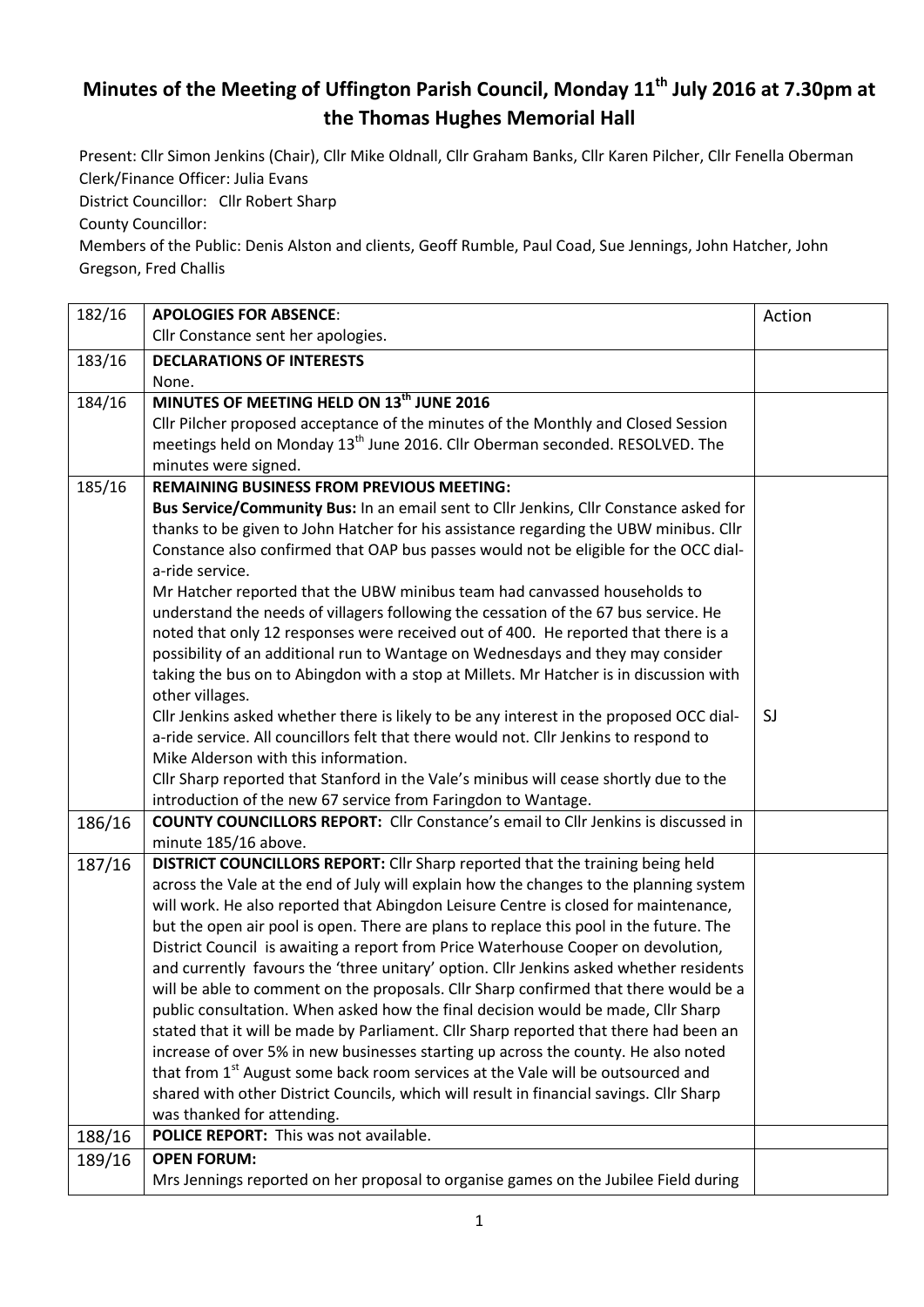## **Minutes of the Meeting of Uffington Parish Council, Monday 11th July 2016 at 7.30pm at the Thomas Hughes Memorial Hall**

Present: Cllr Simon Jenkins (Chair), Cllr Mike Oldnall, Cllr Graham Banks, Cllr Karen Pilcher, Cllr Fenella Oberman Clerk/Finance Officer: Julia Evans

District Councillor: Cllr Robert Sharp

County Councillor:

Members of the Public: Denis Alston and clients, Geoff Rumble, Paul Coad, Sue Jennings, John Hatcher, John Gregson, Fred Challis

| 182/16 | <b>APOLOGIES FOR ABSENCE:</b>                                                               | Action |
|--------|---------------------------------------------------------------------------------------------|--------|
|        | Cllr Constance sent her apologies.                                                          |        |
| 183/16 | <b>DECLARATIONS OF INTERESTS</b>                                                            |        |
|        | None.                                                                                       |        |
| 184/16 | MINUTES OF MEETING HELD ON 13th JUNE 2016                                                   |        |
|        | Cllr Pilcher proposed acceptance of the minutes of the Monthly and Closed Session           |        |
|        | meetings held on Monday 13 <sup>th</sup> June 2016. Cllr Oberman seconded. RESOLVED. The    |        |
|        | minutes were signed.                                                                        |        |
| 185/16 | <b>REMAINING BUSINESS FROM PREVIOUS MEETING:</b>                                            |        |
|        | Bus Service/Community Bus: In an email sent to Cllr Jenkins, Cllr Constance asked for       |        |
|        | thanks to be given to John Hatcher for his assistance regarding the UBW minibus. Cllr       |        |
|        | Constance also confirmed that OAP bus passes would not be eligible for the OCC dial-        |        |
|        | a-ride service.                                                                             |        |
|        | Mr Hatcher reported that the UBW minibus team had canvassed households to                   |        |
|        | understand the needs of villagers following the cessation of the 67 bus service. He         |        |
|        | noted that only 12 responses were received out of 400. He reported that there is a          |        |
|        | possibility of an additional run to Wantage on Wednesdays and they may consider             |        |
|        | taking the bus on to Abingdon with a stop at Millets. Mr Hatcher is in discussion with      |        |
|        | other villages.                                                                             |        |
|        | Cllr Jenkins asked whether there is likely to be any interest in the proposed OCC dial-     | SJ     |
|        | a-ride service. All councillors felt that there would not. Cllr Jenkins to respond to       |        |
|        | Mike Alderson with this information.                                                        |        |
|        | Cllr Sharp reported that Stanford in the Vale's minibus will cease shortly due to the       |        |
|        | introduction of the new 67 service from Faringdon to Wantage.                               |        |
| 186/16 | <b>COUNTY COUNCILLORS REPORT:</b> Cllr Constance's email to Cllr Jenkins is discussed in    |        |
|        | minute 185/16 above.                                                                        |        |
| 187/16 | DISTRICT COUNCILLORS REPORT: Cllr Sharp reported that the training being held               |        |
|        | across the Vale at the end of July will explain how the changes to the planning system      |        |
|        | will work. He also reported that Abingdon Leisure Centre is closed for maintenance,         |        |
|        | but the open air pool is open. There are plans to replace this pool in the future. The      |        |
|        | District Council is awaiting a report from Price Waterhouse Cooper on devolution,           |        |
|        | and currently favours the 'three unitary' option. Cllr Jenkins asked whether residents      |        |
|        | will be able to comment on the proposals. Cllr Sharp confirmed that there would be a        |        |
|        | public consultation. When asked how the final decision would be made, Cllr Sharp            |        |
|        | stated that it will be made by Parliament. Cllr Sharp reported that there had been an       |        |
|        | increase of over 5% in new businesses starting up across the county. He also noted          |        |
|        | that from 1 <sup>st</sup> August some back room services at the Vale will be outsourced and |        |
|        | shared with other District Councils, which will result in financial savings. Cllr Sharp     |        |
|        | was thanked for attending.                                                                  |        |
| 188/16 | POLICE REPORT: This was not available.                                                      |        |
| 189/16 | <b>OPEN FORUM:</b>                                                                          |        |
|        | Mrs Jennings reported on her proposal to organise games on the Jubilee Field during         |        |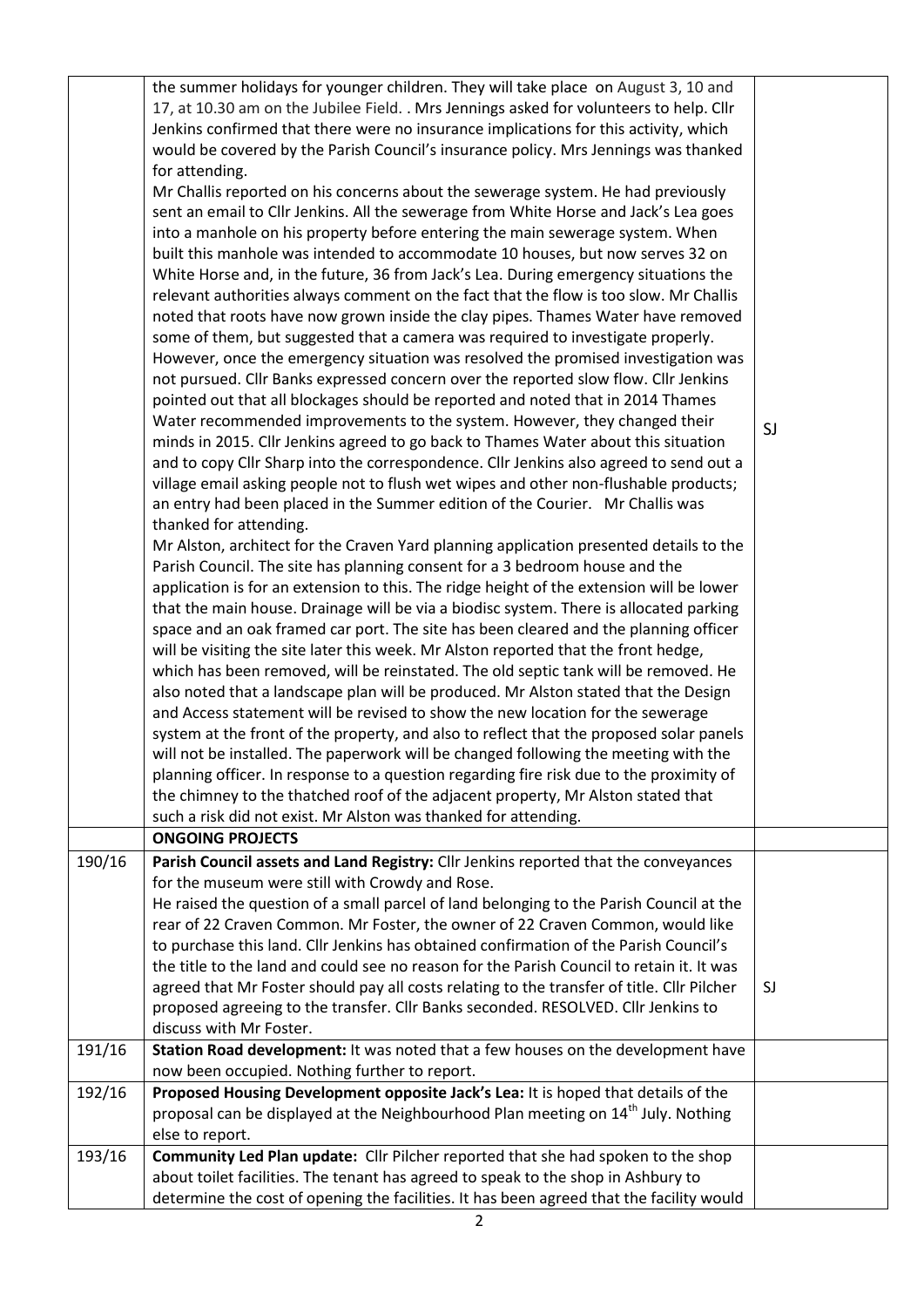|        | the summer holidays for younger children. They will take place on August 3, 10 and<br>17, at 10.30 am on the Jubilee Field. . Mrs Jennings asked for volunteers to help. Cllr<br>Jenkins confirmed that there were no insurance implications for this activity, which<br>would be covered by the Parish Council's insurance policy. Mrs Jennings was thanked<br>for attending.<br>Mr Challis reported on his concerns about the sewerage system. He had previously<br>sent an email to Cllr Jenkins. All the sewerage from White Horse and Jack's Lea goes<br>into a manhole on his property before entering the main sewerage system. When<br>built this manhole was intended to accommodate 10 houses, but now serves 32 on<br>White Horse and, in the future, 36 from Jack's Lea. During emergency situations the<br>relevant authorities always comment on the fact that the flow is too slow. Mr Challis<br>noted that roots have now grown inside the clay pipes. Thames Water have removed<br>some of them, but suggested that a camera was required to investigate properly.<br>However, once the emergency situation was resolved the promised investigation was<br>not pursued. Cllr Banks expressed concern over the reported slow flow. Cllr Jenkins<br>pointed out that all blockages should be reported and noted that in 2014 Thames<br>Water recommended improvements to the system. However, they changed their<br>minds in 2015. Cllr Jenkins agreed to go back to Thames Water about this situation<br>and to copy Cllr Sharp into the correspondence. Cllr Jenkins also agreed to send out a<br>village email asking people not to flush wet wipes and other non-flushable products;<br>an entry had been placed in the Summer edition of the Courier. Mr Challis was<br>thanked for attending.<br>Mr Alston, architect for the Craven Yard planning application presented details to the<br>Parish Council. The site has planning consent for a 3 bedroom house and the<br>application is for an extension to this. The ridge height of the extension will be lower<br>that the main house. Drainage will be via a biodisc system. There is allocated parking<br>space and an oak framed car port. The site has been cleared and the planning officer<br>will be visiting the site later this week. Mr Alston reported that the front hedge,<br>which has been removed, will be reinstated. The old septic tank will be removed. He<br>also noted that a landscape plan will be produced. Mr Alston stated that the Design<br>and Access statement will be revised to show the new location for the sewerage<br>system at the front of the property, and also to reflect that the proposed solar panels<br>will not be installed. The paperwork will be changed following the meeting with the<br>planning officer. In response to a question regarding fire risk due to the proximity of<br>the chimney to the thatched roof of the adjacent property, Mr Alston stated that<br>such a risk did not exist. Mr Alston was thanked for attending. | SJ |
|--------|-----------------------------------------------------------------------------------------------------------------------------------------------------------------------------------------------------------------------------------------------------------------------------------------------------------------------------------------------------------------------------------------------------------------------------------------------------------------------------------------------------------------------------------------------------------------------------------------------------------------------------------------------------------------------------------------------------------------------------------------------------------------------------------------------------------------------------------------------------------------------------------------------------------------------------------------------------------------------------------------------------------------------------------------------------------------------------------------------------------------------------------------------------------------------------------------------------------------------------------------------------------------------------------------------------------------------------------------------------------------------------------------------------------------------------------------------------------------------------------------------------------------------------------------------------------------------------------------------------------------------------------------------------------------------------------------------------------------------------------------------------------------------------------------------------------------------------------------------------------------------------------------------------------------------------------------------------------------------------------------------------------------------------------------------------------------------------------------------------------------------------------------------------------------------------------------------------------------------------------------------------------------------------------------------------------------------------------------------------------------------------------------------------------------------------------------------------------------------------------------------------------------------------------------------------------------------------------------------------------------------------------------------------------------------------------------------------------------------------------------------------------------------------------------------------------------------------------------------------------------------------------------------------------------------------------------------------------------------------------------------------------------------------------------------------------------------|----|
|        | <b>ONGOING PROJECTS</b>                                                                                                                                                                                                                                                                                                                                                                                                                                                                                                                                                                                                                                                                                                                                                                                                                                                                                                                                                                                                                                                                                                                                                                                                                                                                                                                                                                                                                                                                                                                                                                                                                                                                                                                                                                                                                                                                                                                                                                                                                                                                                                                                                                                                                                                                                                                                                                                                                                                                                                                                                                                                                                                                                                                                                                                                                                                                                                                                                                                                                                               |    |
| 190/16 | Parish Council assets and Land Registry: Cllr Jenkins reported that the conveyances<br>for the museum were still with Crowdy and Rose.<br>He raised the question of a small parcel of land belonging to the Parish Council at the<br>rear of 22 Craven Common. Mr Foster, the owner of 22 Craven Common, would like<br>to purchase this land. Cllr Jenkins has obtained confirmation of the Parish Council's<br>the title to the land and could see no reason for the Parish Council to retain it. It was<br>agreed that Mr Foster should pay all costs relating to the transfer of title. Cllr Pilcher<br>proposed agreeing to the transfer. Cllr Banks seconded. RESOLVED. Cllr Jenkins to<br>discuss with Mr Foster.                                                                                                                                                                                                                                                                                                                                                                                                                                                                                                                                                                                                                                                                                                                                                                                                                                                                                                                                                                                                                                                                                                                                                                                                                                                                                                                                                                                                                                                                                                                                                                                                                                                                                                                                                                                                                                                                                                                                                                                                                                                                                                                                                                                                                                                                                                                                               | SJ |
| 191/16 | Station Road development: It was noted that a few houses on the development have<br>now been occupied. Nothing further to report.                                                                                                                                                                                                                                                                                                                                                                                                                                                                                                                                                                                                                                                                                                                                                                                                                                                                                                                                                                                                                                                                                                                                                                                                                                                                                                                                                                                                                                                                                                                                                                                                                                                                                                                                                                                                                                                                                                                                                                                                                                                                                                                                                                                                                                                                                                                                                                                                                                                                                                                                                                                                                                                                                                                                                                                                                                                                                                                                     |    |
| 192/16 | Proposed Housing Development opposite Jack's Lea: It is hoped that details of the<br>proposal can be displayed at the Neighbourhood Plan meeting on 14 <sup>th</sup> July. Nothing                                                                                                                                                                                                                                                                                                                                                                                                                                                                                                                                                                                                                                                                                                                                                                                                                                                                                                                                                                                                                                                                                                                                                                                                                                                                                                                                                                                                                                                                                                                                                                                                                                                                                                                                                                                                                                                                                                                                                                                                                                                                                                                                                                                                                                                                                                                                                                                                                                                                                                                                                                                                                                                                                                                                                                                                                                                                                    |    |
|        | else to report.                                                                                                                                                                                                                                                                                                                                                                                                                                                                                                                                                                                                                                                                                                                                                                                                                                                                                                                                                                                                                                                                                                                                                                                                                                                                                                                                                                                                                                                                                                                                                                                                                                                                                                                                                                                                                                                                                                                                                                                                                                                                                                                                                                                                                                                                                                                                                                                                                                                                                                                                                                                                                                                                                                                                                                                                                                                                                                                                                                                                                                                       |    |
| 193/16 | Community Led Plan update: Cllr Pilcher reported that she had spoken to the shop<br>about toilet facilities. The tenant has agreed to speak to the shop in Ashbury to<br>determine the cost of opening the facilities. It has been agreed that the facility would                                                                                                                                                                                                                                                                                                                                                                                                                                                                                                                                                                                                                                                                                                                                                                                                                                                                                                                                                                                                                                                                                                                                                                                                                                                                                                                                                                                                                                                                                                                                                                                                                                                                                                                                                                                                                                                                                                                                                                                                                                                                                                                                                                                                                                                                                                                                                                                                                                                                                                                                                                                                                                                                                                                                                                                                     |    |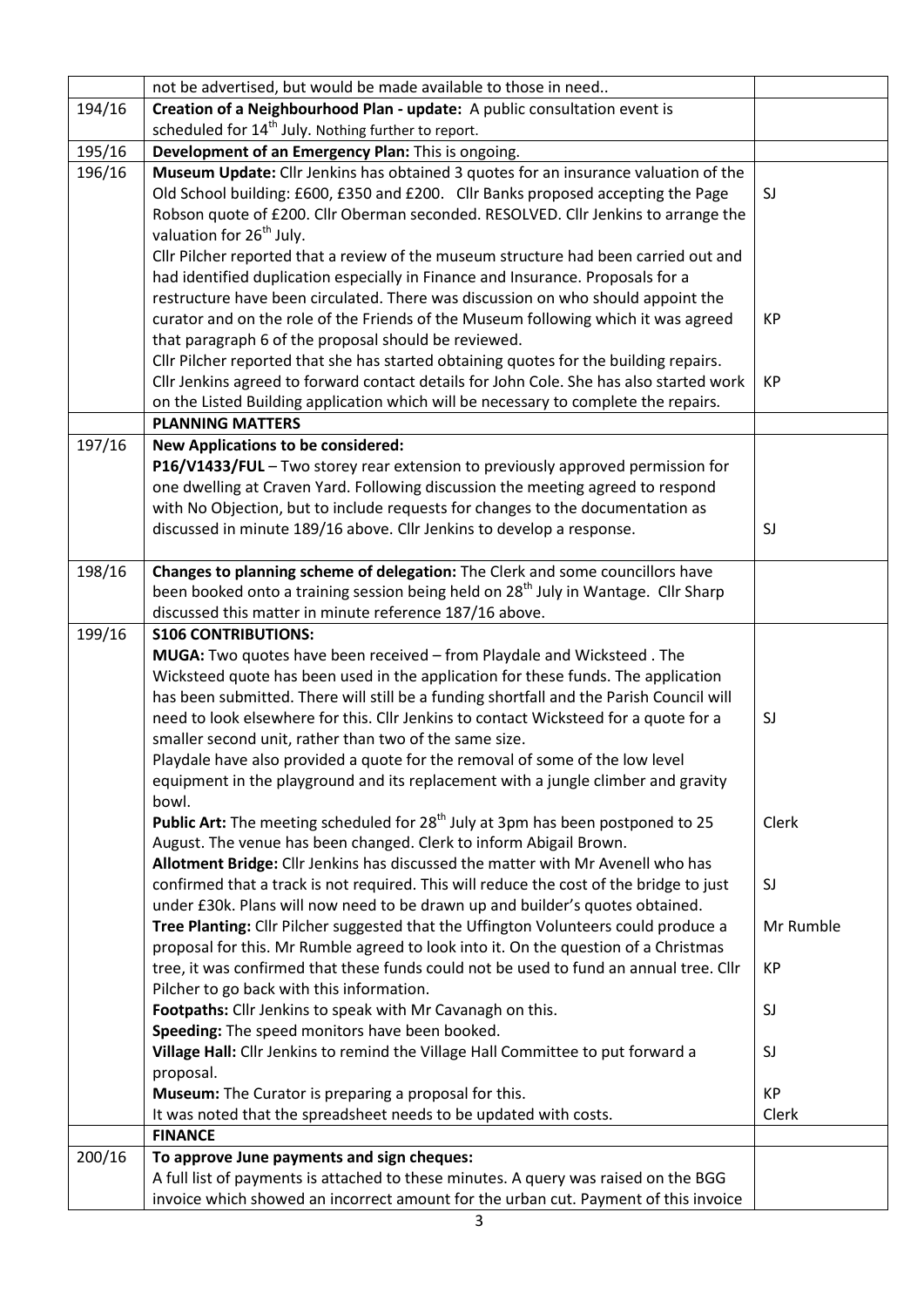|        | not be advertised, but would be made available to those in need                                |           |
|--------|------------------------------------------------------------------------------------------------|-----------|
| 194/16 | Creation of a Neighbourhood Plan - update: A public consultation event is                      |           |
|        | scheduled for 14 <sup>th</sup> July. Nothing further to report.                                |           |
| 195/16 | Development of an Emergency Plan: This is ongoing.                                             |           |
| 196/16 | Museum Update: Cllr Jenkins has obtained 3 quotes for an insurance valuation of the            |           |
|        | Old School building: £600, £350 and £200. Cllr Banks proposed accepting the Page               | SJ        |
|        | Robson quote of £200. Cllr Oberman seconded. RESOLVED. Cllr Jenkins to arrange the             |           |
|        | valuation for 26 <sup>th</sup> July.                                                           |           |
|        | Cllr Pilcher reported that a review of the museum structure had been carried out and           |           |
|        | had identified duplication especially in Finance and Insurance. Proposals for a                |           |
|        | restructure have been circulated. There was discussion on who should appoint the               |           |
|        | curator and on the role of the Friends of the Museum following which it was agreed             | KP        |
|        | that paragraph 6 of the proposal should be reviewed.                                           |           |
|        | Cllr Pilcher reported that she has started obtaining quotes for the building repairs.          |           |
|        | Cllr Jenkins agreed to forward contact details for John Cole. She has also started work        | <b>KP</b> |
|        | on the Listed Building application which will be necessary to complete the repairs.            |           |
|        | <b>PLANNING MATTERS</b>                                                                        |           |
| 197/16 | <b>New Applications to be considered:</b>                                                      |           |
|        | P16/V1433/FUL - Two storey rear extension to previously approved permission for                |           |
|        | one dwelling at Craven Yard. Following discussion the meeting agreed to respond                |           |
|        | with No Objection, but to include requests for changes to the documentation as                 |           |
|        | discussed in minute 189/16 above. Cllr Jenkins to develop a response.                          | SJ        |
|        |                                                                                                |           |
| 198/16 | Changes to planning scheme of delegation: The Clerk and some councillors have                  |           |
|        | been booked onto a training session being held on 28 <sup>th</sup> July in Wantage. Cllr Sharp |           |
|        | discussed this matter in minute reference 187/16 above.                                        |           |
| 199/16 | <b>S106 CONTRIBUTIONS:</b>                                                                     |           |
|        | MUGA: Two quotes have been received - from Playdale and Wicksteed. The                         |           |
|        | Wicksteed quote has been used in the application for these funds. The application              |           |
|        | has been submitted. There will still be a funding shortfall and the Parish Council will        |           |
|        | need to look elsewhere for this. Cllr Jenkins to contact Wicksteed for a quote for a           | SJ        |
|        | smaller second unit, rather than two of the same size.                                         |           |
|        | Playdale have also provided a quote for the removal of some of the low level                   |           |
|        | equipment in the playground and its replacement with a jungle climber and gravity              |           |
|        | bowl.                                                                                          |           |
|        | Public Art: The meeting scheduled for 28 <sup>th</sup> July at 3pm has been postponed to 25    | Clerk     |
|        | August. The venue has been changed. Clerk to inform Abigail Brown.                             |           |
|        | Allotment Bridge: Cllr Jenkins has discussed the matter with Mr Avenell who has                |           |
|        | confirmed that a track is not required. This will reduce the cost of the bridge to just        | SJ        |
|        | under £30k. Plans will now need to be drawn up and builder's quotes obtained.                  |           |
|        | Tree Planting: Cllr Pilcher suggested that the Uffington Volunteers could produce a            | Mr Rumble |
|        | proposal for this. Mr Rumble agreed to look into it. On the question of a Christmas            |           |
|        | tree, it was confirmed that these funds could not be used to fund an annual tree. Cllr         | КP        |
|        | Pilcher to go back with this information.                                                      |           |
|        | Footpaths: Cllr Jenkins to speak with Mr Cavanagh on this.                                     | SJ        |
|        | Speeding: The speed monitors have been booked.                                                 |           |
|        | Village Hall: Cllr Jenkins to remind the Village Hall Committee to put forward a               | SJ        |
|        | proposal.                                                                                      |           |
|        | Museum: The Curator is preparing a proposal for this.                                          | <b>KP</b> |
|        | It was noted that the spreadsheet needs to be updated with costs.                              | Clerk     |
|        | <b>FINANCE</b>                                                                                 |           |
| 200/16 | To approve June payments and sign cheques:                                                     |           |
|        | A full list of payments is attached to these minutes. A query was raised on the BGG            |           |
|        | invoice which showed an incorrect amount for the urban cut. Payment of this invoice            |           |